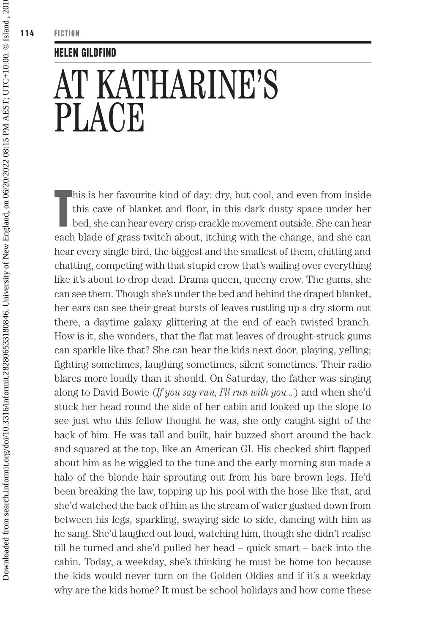## HELEN GILDFIND

## AT KATHARINE'S PLACE

T his is her favourite kind of day: dry, but cool, and even from inside this cave of blanket and floor, in this dark dusty space under her bed, she can hear every crisp crackle movement outside. She can hear each blade of grass twitch about, itching with the change, and she can hear every single bird, the biggest and the smallest of them, chitting and chatting, competing with that stupid crow that's wailing over everything like it's about to drop dead. Drama queen, queeny crow. The gums, she can see them. Though she's under the bed and behind the draped blanket, her ears can see their great bursts of leaves rustling up a dry storm out there, a daytime galaxy glittering at the end of each twisted branch. How is it, she wonders, that the flat mat leaves of drought-struck gums can sparkle like that? She can hear the kids next door, playing, yelling; fighting sometimes, laughing sometimes, silent sometimes. Their radio blares more loudly than it should. On Saturday, the father was singing along to David Bowie (*If you say run, I'll run with you...*) and when she'd stuck her head round the side of her cabin and looked up the slope to see just who this fellow thought he was, she only caught sight of the back of him. He was tall and built, hair buzzed short around the back and squared at the top, like an American GI. His checked shirt flapped about him as he wiggled to the tune and the early morning sun made a halo of the blonde hair sprouting out from his bare brown legs. He'd been breaking the law, topping up his pool with the hose like that, and she'd watched the back of him as the stream of water gushed down from between his legs, sparkling, swaying side to side, dancing with him as he sang. She'd laughed out loud, watching him, though she didn't realise till he turned and she'd pulled her head – quick smart – back into the cabin. Today, a weekday, she's thinking he must be home too because the kids would never turn on the Golden Oldies and if it's a weekday why are the kids home? It must be school holidays and how come these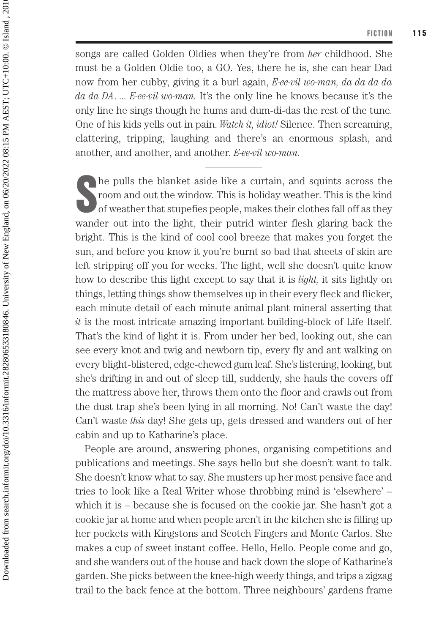songs are called Golden Oldies when they're from *her* childhood. She must be a Golden Oldie too, a GO. Yes, there he is, she can hear Dad now from her cubby, giving it a burl again, *E-ee-vil wo-man, da da da da da da DA*. *... E-ee-vil wo-man.* It's the only line he knows because it's the only line he sings though he hums and dum-di-das the rest of the tune*.*  One of his kids yells out in pain. *Watch it, idiot!* Silence. Then screaming, clattering, tripping, laughing and there's an enormous splash, and another, and another, and another. *E-ee-vil wo-man.*

The pulls the blanket aside like a curtain, and squints across the room and out the window. This is holiday weather. This is the kind of weather that stupefies people, makes their clothes fall off as they room and out the window. This is holiday weather. This is the kind of weather that stupefies people, makes their clothes fall off as they wander out into the light, their putrid winter flesh glaring back the bright. This is the kind of cool cool breeze that makes you forget the sun, and before you know it you're burnt so bad that sheets of skin are left stripping off you for weeks. The light, well she doesn't quite know how to describe this light except to say that it is *light,* it sits lightly on things, letting things show themselves up in their every fleck and flicker, each minute detail of each minute animal plant mineral asserting that *it* is the most intricate amazing important building-block of Life Itself. That's the kind of light it is. From under her bed, looking out, she can see every knot and twig and newborn tip, every fly and ant walking on every blight-blistered, edge-chewed gum leaf. She's listening, looking, but she's drifting in and out of sleep till, suddenly, she hauls the covers off the mattress above her, throws them onto the floor and crawls out from the dust trap she's been lying in all morning. No! Can't waste the day! Can't waste *this* day! She gets up, gets dressed and wanders out of her cabin and up to Katharine's place.

People are around, answering phones, organising competitions and publications and meetings. She says hello but she doesn't want to talk. She doesn't know what to say. She musters up her most pensive face and tries to look like a Real Writer whose throbbing mind is 'elsewhere' – which it is – because she is focused on the cookie jar. She hasn't got a cookie jar at home and when people aren't in the kitchen she is filling up her pockets with Kingstons and Scotch Fingers and Monte Carlos. She makes a cup of sweet instant coffee. Hello, Hello. People come and go, and she wanders out of the house and back down the slope of Katharine's garden. She picks between the knee-high weedy things, and trips a zigzag trail to the back fence at the bottom. Three neighbours' gardens frame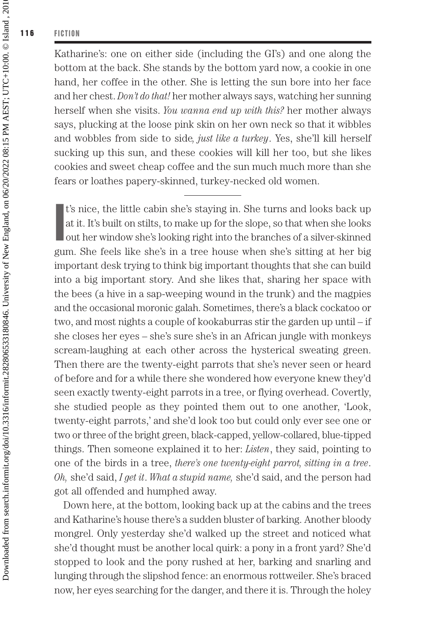Katharine's: one on either side (including the GI's) and one along the bottom at the back. She stands by the bottom yard now, a cookie in one hand, her coffee in the other. She is letting the sun bore into her face and her chest. *Don't do that!* her mother always says, watching her sunning herself when she visits. *You wanna end up with this?* her mother always says, plucking at the loose pink skin on her own neck so that it wibbles and wobbles from side to side*, just like a turkey*. Yes, she'll kill herself sucking up this sun, and these cookies will kill her too, but she likes cookies and sweet cheap coffee and the sun much much more than she fears or loathes papery-skinned, turkey-necked old women.

I t's nice, the little cabin she's staying in. She turns and looks back up at it. It's built on stilts, to make up for the slope, so that when she looks out her window she's looking right into the branches of a silver-skinned gum. She feels like she's in a tree house when she's sitting at her big important desk trying to think big important thoughts that she can build into a big important story. And she likes that, sharing her space with the bees (a hive in a sap-weeping wound in the trunk) and the magpies and the occasional moronic galah. Sometimes, there's a black cockatoo or two, and most nights a couple of kookaburras stir the garden up until – if she closes her eyes – she's sure she's in an African jungle with monkeys scream-laughing at each other across the hysterical sweating green. Then there are the twenty-eight parrots that she's never seen or heard of before and for a while there she wondered how everyone knew they'd seen exactly twenty-eight parrots in a tree, or flying overhead. Covertly, she studied people as they pointed them out to one another, 'Look, twenty-eight parrots,' and she'd look too but could only ever see one or two or three of the bright green, black-capped, yellow-collared, blue-tipped things. Then someone explained it to her: *Listen*, they said, pointing to one of the birds in a tree, *there's one twenty-eight parrot, sitting in a tree*. *Oh,* she'd said, *I get it*. *What a stupid name,* she'd said, and the person had got all offended and humphed away.

Down here, at the bottom, looking back up at the cabins and the trees and Katharine's house there's a sudden bluster of barking. Another bloody mongrel. Only yesterday she'd walked up the street and noticed what she'd thought must be another local quirk: a pony in a front yard? She'd stopped to look and the pony rushed at her, barking and snarling and lunging through the slipshod fence: an enormous rottweiler. She's braced now, her eyes searching for the danger, and there it is. Through the holey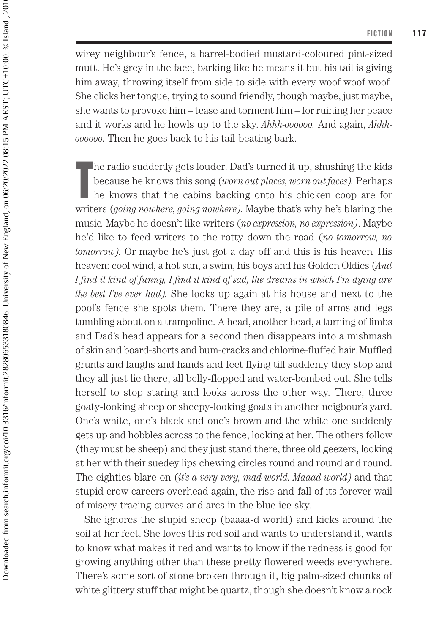wirey neighbour's fence, a barrel-bodied mustard-coloured pint-sized mutt. He's grey in the face, barking like he means it but his tail is giving him away, throwing itself from side to side with every woof woof woof. She clicks her tongue, trying to sound friendly, though maybe, just maybe, she wants to provoke him – tease and torment him – for ruining her peace and it works and he howls up to the sky. *Ahhh-oooooo.* And again, *Ahhhoooooo.* Then he goes back to his tail-beating bark.

T he radio suddenly gets louder. Dad's turned it up, shushing the kids because he knows this song (*worn out places, worn out faces).* Perhaps he knows that the cabins backing onto his chicken coop are for writers (*going nowhere, going nowhere).* Maybe that's why he's blaring the music*.* Maybe he doesn't like writers (*no expression, no expression)*. Maybe he'd like to feed writers to the rotty down the road (*no tomorrow, no tomorrow).* Or maybe he's just got a day off and this is his heaven*.* His heaven: cool wind, a hot sun, a swim, his boys and his Golden Oldies (*And I find it kind of funny, I find it kind of sad, the dreams in which I'm dying are the best I've ever had).* She looks up again at his house and next to the pool's fence she spots them. There they are, a pile of arms and legs tumbling about on a trampoline. A head, another head, a turning of limbs and Dad's head appears for a second then disappears into a mishmash of skin and board-shorts and bum-cracks and chlorine-fluffed hair. Muffled grunts and laughs and hands and feet flying till suddenly they stop and they all just lie there, all belly-flopped and water-bombed out. She tells herself to stop staring and looks across the other way. There, three goaty-looking sheep or sheepy-looking goats in another neigbour's yard. One's white, one's black and one's brown and the white one suddenly gets up and hobbles across to the fence, looking at her. The others follow (they must be sheep) and they just stand there, three old geezers, looking at her with their suedey lips chewing circles round and round and round. The eighties blare on (*it's a very very, mad world. Maaad world)* and that stupid crow careers overhead again, the rise-and-fall of its forever wail of misery tracing curves and arcs in the blue ice sky.

She ignores the stupid sheep (baaaa-d world) and kicks around the soil at her feet. She loves this red soil and wants to understand it, wants to know what makes it red and wants to know if the redness is good for growing anything other than these pretty flowered weeds everywhere. There's some sort of stone broken through it, big palm-sized chunks of white glittery stuff that might be quartz, though she doesn't know a rock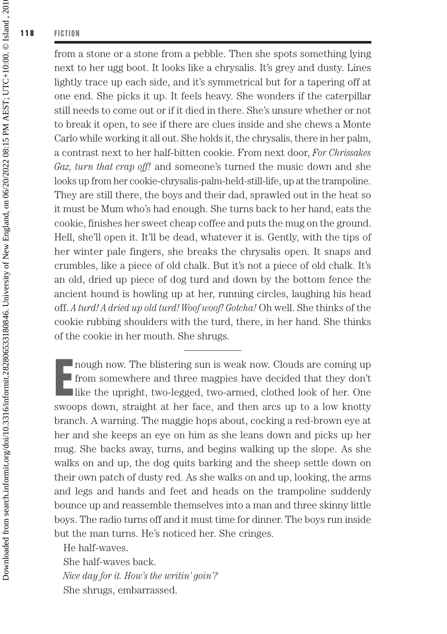from a stone or a stone from a pebble. Then she spots something lying next to her ugg boot. It looks like a chrysalis. It's grey and dusty. Lines lightly trace up each side, and it's symmetrical but for a tapering off at one end. She picks it up. It feels heavy. She wonders if the caterpillar still needs to come out or if it died in there. She's unsure whether or not to break it open, to see if there are clues inside and she chews a Monte Carlo while working it all out. She holds it, the chrysalis, there in her palm, a contrast next to her half-bitten cookie. From next door, *For Chrissakes Gaz, turn that crap off!* and someone's turned the music down and she looks up from her cookie-chrysalis-palm-held-still-life, up at the trampoline. They are still there, the boys and their dad, sprawled out in the heat so it must be Mum who's had enough. She turns back to her hand, eats the cookie, finishes her sweet cheap coffee and puts the mug on the ground. Hell, she'll open it. It'll be dead, whatever it is. Gently, with the tips of her winter pale fingers, she breaks the chrysalis open. It snaps and crumbles, like a piece of old chalk. But it's not a piece of old chalk. It's an old, dried up piece of dog turd and down by the bottom fence the ancient hound is howling up at her, running circles, laughing his head off. *A turd! A dried up old turd! Woof woof! Gotcha!* Oh well. She thinks of the cookie rubbing shoulders with the turd, there, in her hand. She thinks of the cookie in her mouth. She shrugs.

E nough now. The blistering sun is weak now. Clouds are coming up from somewhere and three magpies have decided that they don't like the upright, two-legged, two-armed, clothed look of her. One swoops down, straight at her face, and then arcs up to a low knotty branch. A warning. The maggie hops about, cocking a red-brown eye at her and she keeps an eye on him as she leans down and picks up her mug. She backs away, turns, and begins walking up the slope. As she walks on and up, the dog quits barking and the sheep settle down on their own patch of dusty red. As she walks on and up, looking, the arms and legs and hands and feet and heads on the trampoline suddenly bounce up and reassemble themselves into a man and three skinny little boys. The radio turns off and it must time for dinner. The boys run inside but the man turns. He's noticed her. She cringes.

He half-waves.

She half-waves back. *Nice day for it. How's the writin' goin'?* She shrugs, embarrassed.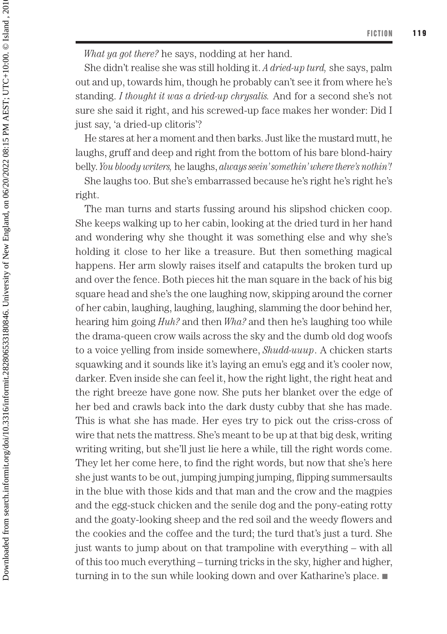*What ya got there?* he says, nodding at her hand.

She didn't realise she was still holding it. *A dried-up turd,* she says, palm out and up, towards him, though he probably can't see it from where he's standing. *I thought it was a dried-up chrysalis.* And for a second she's not sure she said it right, and his screwed-up face makes her wonder: Did I just say, 'a dried-up clitoris'?

He stares at her a moment and then barks. Just like the mustard mutt, he laughs, gruff and deep and right from the bottom of his bare blond-hairy belly. *You bloody writers,* he laughs, *always seein' somethin' where there's nothin'!*

She laughs too. But she's embarrassed because he's right he's right he's right.

The man turns and starts fussing around his slipshod chicken coop. She keeps walking up to her cabin, looking at the dried turd in her hand and wondering why she thought it was something else and why she's holding it close to her like a treasure. But then something magical happens. Her arm slowly raises itself and catapults the broken turd up and over the fence. Both pieces hit the man square in the back of his big square head and she's the one laughing now, skipping around the corner of her cabin, laughing, laughing, laughing, slamming the door behind her, hearing him going *Huh?* and then *Wha?* and then he's laughing too while the drama-queen crow wails across the sky and the dumb old dog woofs to a voice yelling from inside somewhere, *Shudd-uuup*. A chicken starts squawking and it sounds like it's laying an emu's egg and it's cooler now, darker. Even inside she can feel it, how the right light, the right heat and the right breeze have gone now. She puts her blanket over the edge of her bed and crawls back into the dark dusty cubby that she has made. This is what she has made. Her eyes try to pick out the criss-cross of wire that nets the mattress. She's meant to be up at that big desk, writing writing writing, but she'll just lie here a while, till the right words come. They let her come here, to find the right words, but now that she's here she just wants to be out, jumping jumping jumping, flipping summersaults in the blue with those kids and that man and the crow and the magpies and the egg-stuck chicken and the senile dog and the pony-eating rotty and the goaty-looking sheep and the red soil and the weedy flowers and the cookies and the coffee and the turd; the turd that's just a turd. She just wants to jump about on that trampoline with everything – with all of this too much everything – turning tricks in the sky, higher and higher, turning in to the sun while looking down and over Katharine's place.  $\blacksquare$